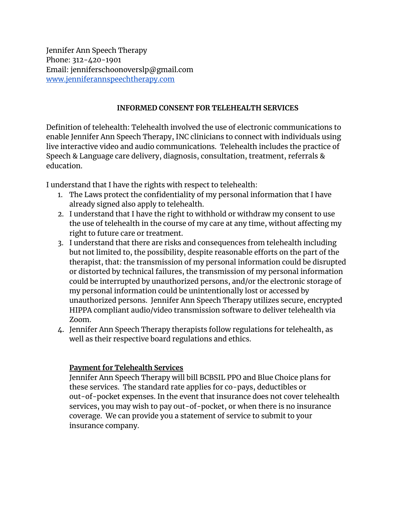Jennifer Ann Speech Therapy Phone: 312-420-1901 Email: jenniferschoonoverslp@gmail.com [www.jenniferannspeechtherapy.com](http://www.jenniferannspeechtherapy.com/)

## **INFORMED CONSENT FOR TELEHEALTH SERVICES**

Definition of telehealth: Telehealth involved the use of electronic communications to enable Jennifer Ann Speech Therapy, INC clinicians to connect with individuals using live interactive video and audio communications. Telehealth includes the practice of Speech & Language care delivery, diagnosis, consultation, treatment, referrals & education.

I understand that I have the rights with respect to telehealth:

- 1. The Laws protect the confidentiality of my personal information that I have already signed also apply to telehealth.
- 2. I understand that I have the right to withhold or withdraw my consent to use the use of telehealth in the course of my care at any time, without affecting my right to future care or treatment.
- 3. I understand that there are risks and consequences from telehealth including but not limited to, the possibility, despite reasonable efforts on the part of the therapist, that: the transmission of my personal information could be disrupted or distorted by technical failures, the transmission of my personal information could be interrupted by unauthorized persons, and/or the electronic storage of my personal information could be unintentionally lost or accessed by unauthorized persons. Jennifer Ann Speech Therapy utilizes secure, encrypted HIPPA compliant audio/video transmission software to deliver telehealth via Zoom.
- 4. Jennifer Ann Speech Therapy therapists follow regulations for telehealth, as well as their respective board regulations and ethics.

## **Payment for Telehealth Services**

Jennifer Ann Speech Therapy will bill BCBSIL PPO and Blue Choice plans for these services. The standard rate applies for co-pays, deductibles or out-of-pocket expenses. In the event that insurance does not cover telehealth services, you may wish to pay out-of-pocket, or when there is no insurance coverage. We can provide you a statement of service to submit to your insurance company.